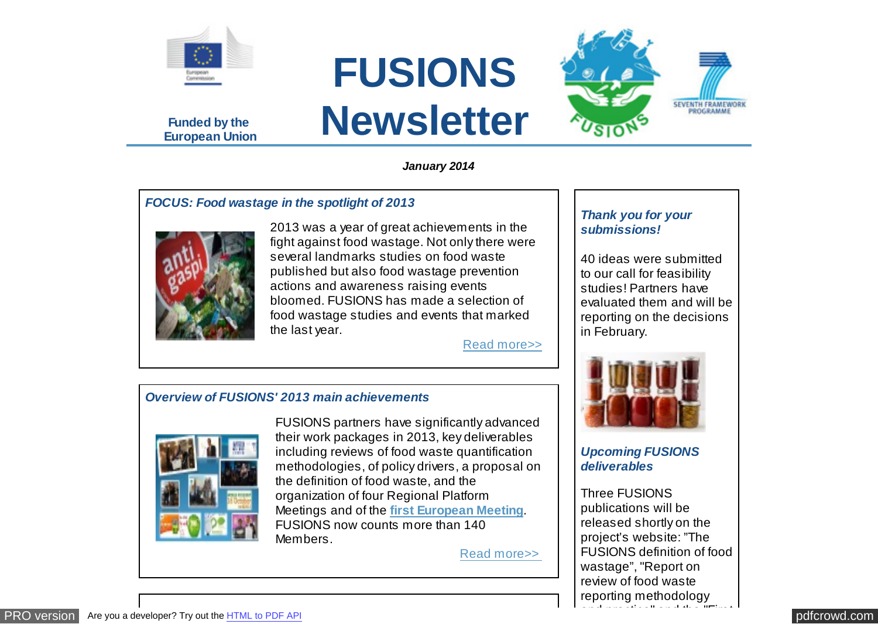

**Funded by the European Union**







*January 2014*

## *FOCUS: Food wastage in the spotlight of 2013*



2013 was a year of great achievements in the fight against food wastage. Not only there were several landmarks studies on food waste published but also food wastage prevention actions and awareness raising events bloomed. FUSIONS has made a selection of food wastage studies and events that marked the last year.

[Read more>>](http://eu-fusions.org/news/focus-food-wastage-in-the-spotlight-of-2013)

## *Overview of FUSIONS' 2013 main achievements*



FUSIONS partners have significantly advanced their work packages in 2013, key deliverables including reviews of food waste quantification methodologies, of policy drivers, a proposal on the definition of food waste, and the organization of four Regional Platform Meetings and of the **[first European Meeting](http://eu-fusions.org/news/highlights-of-fusions-first-european-meeting)**. FUSIONS now counts more than 140 Members.

[Read more>>](http://eu-fusions.org/news/overview-of-fusions-2013-main-achievements) 

## *Thank you for your submissions!*

40 ideas were submitted to our call for feasibility studies! Partners have evaluated them and will be reporting on the decisions in February.



*Upcoming FUSIONS deliverables*

Three FUSIONS publications will be released shortly on the project's website: "The FUSIONS definition of food wastage", "Report on review of food waste reporting methodology

and practice" and the "First